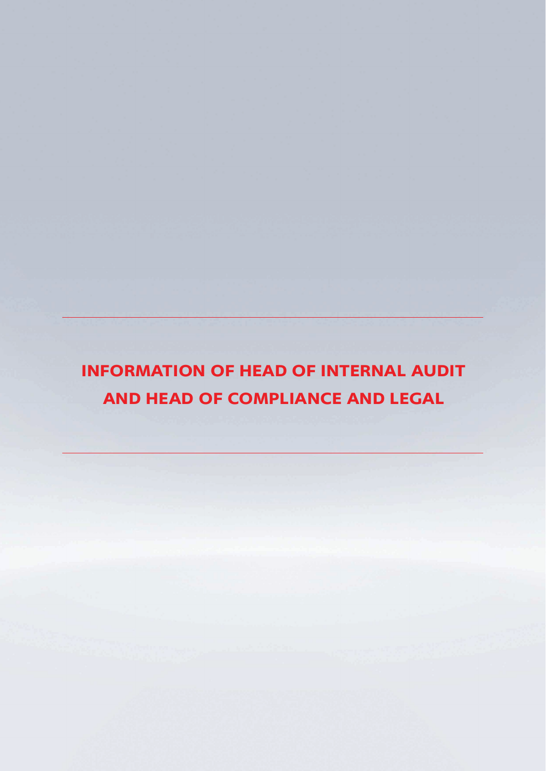**INFORMATION OF HEAD OF INTERNAL AUDIT AND HEAD OF COMPLIANCE AND LEGAL**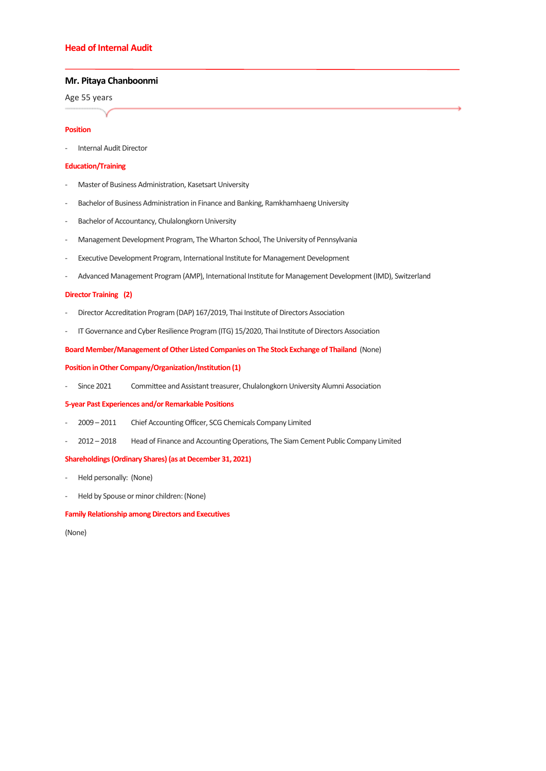# **Head of Internal Audit**

## **Mr. Pitaya Chanboonmi**

Age 55 years

#### **Position**

- Internal Audit Director

#### **Education/Training**

- Master of Business Administration, Kasetsart University
- Bachelor of Business Administration in Finance and Banking, Ramkhamhaeng University
- Bachelor of Accountancy, Chulalongkorn University
- Management Development Program, The Wharton School, The University of Pennsylvania
- Executive Development Program, International Institute for Management Development
- Advanced Management Program (AMP), International Institute for Management Development (IMD), Switzerland

## **Director Training (2)**

- Director Accreditation Program (DAP) 167/2019, Thai Institute of Directors Association
- IT Governance and Cyber Resilience Program (ITG) 15/2020, Thai Institute of Directors Association

#### **Board Member/Management of Other Listed Companies on The Stock Exchange of Thailand** (None)

### **Position in Other Company/Organization/Institution (1)**

Since 2021 Committee and Assistant treasurer, Chulalongkorn University Alumni Association

## **5-year Past Experiences and/or Remarkable Positions**

- 2009 2011 Chief Accounting Officer, SCG Chemicals Company Limited
- 2012 2018 Head of Finance and Accounting Operations, The Siam Cement Public Company Limited

## **Shareholdings (Ordinary Shares) (as at December 31, 2021)**

- Held personally: (None)
- Held by Spouse or minor children: (None)

#### **Family Relationship among Directors and Executives**

(None)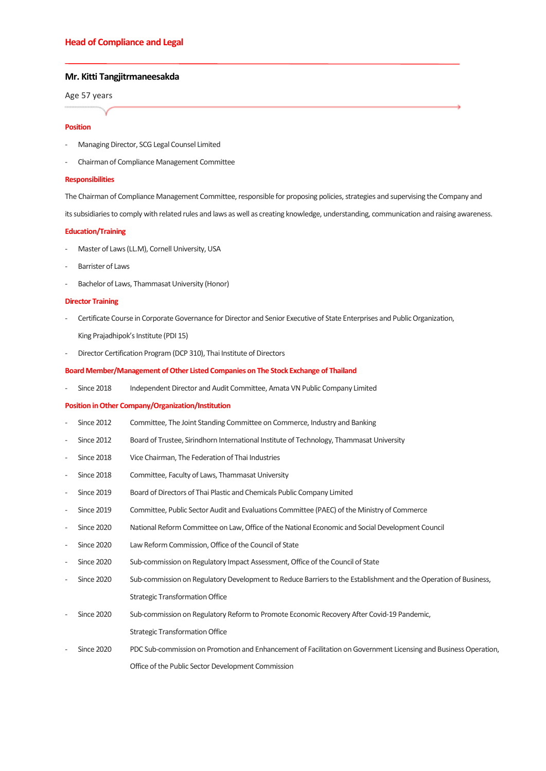### **Mr. Kitti Tangjitrmaneesakda**

Age 57 years

#### **Position**

- Managing Director, SCG Legal Counsel Limited
- Chairman of Compliance Management Committee

#### **Responsibilities**

The Chairman of Compliance Management Committee, responsible for proposing policies, strategies and supervising the Company and

its subsidiaries to comply with related rules and laws as well as creating knowledge, understanding, communication and raising awareness.

#### **Education/Training**

- Master of Laws (LL.M), Cornell University, USA
- Barrister of Laws
- Bachelor of Laws, Thammasat University (Honor)

#### **Director Training**

- Certificate Course in Corporate Governance for Director and Senior Executive of State Enterprises and Public Organization,

King Prajadhipok's Institute (PDI 15)

Director Certification Program (DCP 310), Thai Institute of Directors

#### **Board Member/Management of Other Listed Companies on The Stock Exchange of Thailand**

Since 2018 Independent Director and Audit Committee, Amata VN Public Company Limited

#### **Position in Other Company/Organization/Institution**

- Since 2012 Committee, The Joint Standing Committee on Commerce, Industry and Banking
- Since 2012 Board of Trustee, Sirindhorn International Institute of Technology, Thammasat University
- Since 2018 Vice Chairman, The Federation of Thai Industries
- Since 2018 Committee, Faculty of Laws, Thammasat University
- Since 2019 Board of Directors of Thai Plastic and Chemicals Public Company Limited
- Since 2019 Committee, Public Sector Audit and Evaluations Committee (PAEC) of the Ministry of Commerce
- Since 2020 National Reform Committee on Law, Office of the National Economic and Social Development Council
- Since 2020 Law Reform Commission, Office of the Council of State
- Since 2020 Sub-commission on Regulatory Impact Assessment, Office of the Council of State
- Since 2020 Sub-commission on Regulatory Development to Reduce Barriers to the Establishment and the Operation of Business, Strategic Transformation Office
- Since 2020 Sub-commission on Regulatory Reform to Promote Economic Recovery After Covid-19 Pandemic, Strategic Transformation Office
- Since 2020 PDC Sub-commission on Promotion and Enhancement of Facilitation on Government Licensing and Business Operation, Office of the Public Sector Development Commission